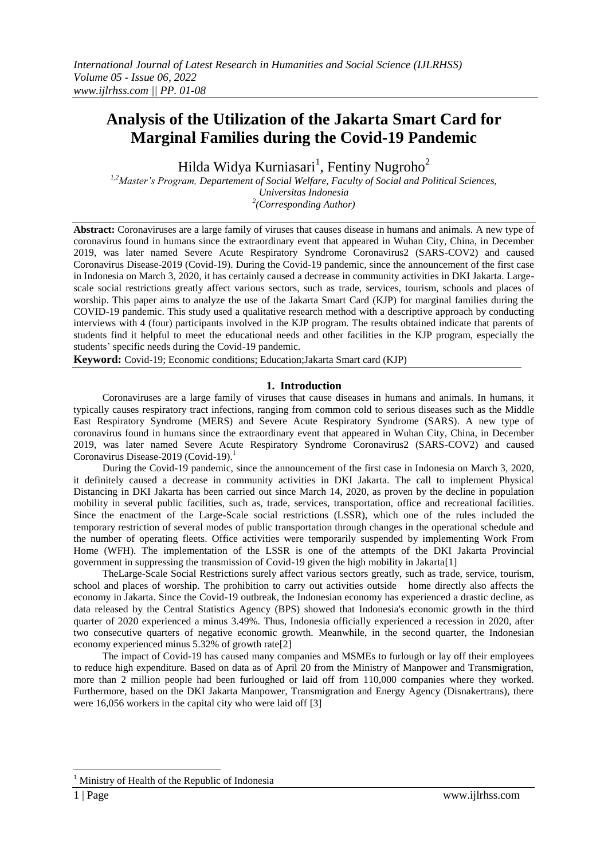# **Analysis of the Utilization of the Jakarta Smart Card for Marginal Families during the Covid-19 Pandemic**

Hilda Widya Kurniasari<sup>1</sup>, Fentiny Nugroho<sup>2</sup>

*1,2Master's Program, Departement of Social Welfare, Faculty of Social and Political Sciences, Universitas Indonesia 2 (Corresponding Author)*

**Abstract:** Coronaviruses are a large family of viruses that causes disease in humans and animals. A new type of coronavirus found in humans since the extraordinary event that appeared in Wuhan City, China, in December 2019, was later named Severe Acute Respiratory Syndrome Coronavirus2 (SARS-COV2) and caused Coronavirus Disease-2019 (Covid-19). During the Covid-19 pandemic, since the announcement of the first case in Indonesia on March 3, 2020, it has certainly caused a decrease in community activities in DKI Jakarta. Largescale social restrictions greatly affect various sectors, such as trade, services, tourism, schools and places of worship. This paper aims to analyze the use of the Jakarta Smart Card (KJP) for marginal families during the COVID-19 pandemic. This study used a qualitative research method with a descriptive approach by conducting interviews with 4 (four) participants involved in the KJP program. The results obtained indicate that parents of students find it helpful to meet the educational needs and other facilities in the KJP program, especially the students" specific needs during the Covid-19 pandemic.

**Keyword:** Covid-19; Economic conditions; Education;Jakarta Smart card (KJP)

#### **1. Introduction**

Coronaviruses are a large family of viruses that cause diseases in humans and animals. In humans, it typically causes respiratory tract infections, ranging from common cold to serious diseases such as the Middle East Respiratory Syndrome (MERS) and Severe Acute Respiratory Syndrome (SARS). A new type of coronavirus found in humans since the extraordinary event that appeared in Wuhan City, China, in December 2019, was later named Severe Acute Respiratory Syndrome Coronavirus2 (SARS-COV2) and caused Coronavirus Disease-2019 (Covid-19).<sup>1</sup>

During the Covid-19 pandemic, since the announcement of the first case in Indonesia on March 3, 2020, it definitely caused a decrease in community activities in DKI Jakarta. The call to implement Physical Distancing in DKI Jakarta has been carried out since March 14, 2020, as proven by the decline in population mobility in several public facilities, such as, trade, services, transportation, office and recreational facilities. Since the enactment of the Large-Scale social restrictions (LSSR), which one of the rules included the temporary restriction of several modes of public transportation through changes in the operational schedule and the number of operating fleets. Office activities were temporarily suspended by implementing Work From Home (WFH). The implementation of the LSSR is one of the attempts of the DKI Jakarta Provincial government in suppressing the transmission of Covid-19 given the high mobility in Jakarta[1]

TheLarge-Scale Social Restrictions surely affect various sectors greatly, such as trade, service, tourism, school and places of worship. The prohibition to carry out activities outside home directly also affects the economy in Jakarta. Since the Covid-19 outbreak, the Indonesian economy has experienced a drastic decline, as data released by the Central Statistics Agency (BPS) showed that Indonesia's economic growth in the third quarter of 2020 experienced a minus 3.49%. Thus, Indonesia officially experienced a recession in 2020, after two consecutive quarters of negative economic growth. Meanwhile, in the second quarter, the Indonesian economy experienced minus 5.32% of growth rate[2]

The impact of Covid-19 has caused many companies and MSMEs to furlough or lay off their employees to reduce high expenditure. Based on data as of April 20 from the Ministry of Manpower and Transmigration, more than 2 million people had been furloughed or laid off from 110,000 companies where they worked. Furthermore, based on the DKI Jakarta Manpower, Transmigration and Energy Agency (Disnakertrans), there were 16,056 workers in the capital city who were laid off [3]

**.** 

<sup>1</sup> Ministry of Health of the Republic of Indonesia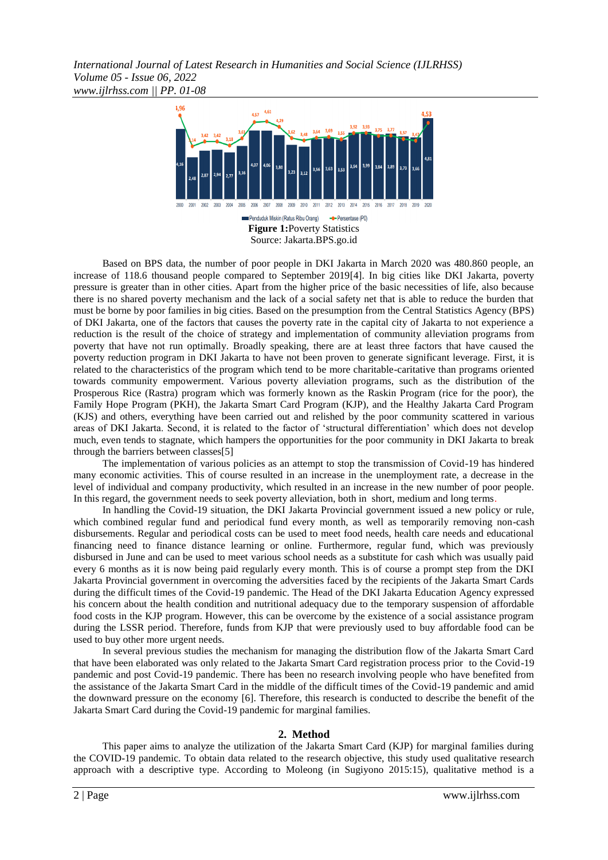*International Journal of Latest Research in Humanities and Social Science (IJLRHSS) Volume 05 - Issue 06, 2022 www.ijlrhss.com || PP. 01-08*



Based on BPS data, the number of poor people in DKI Jakarta in March 2020 was 480.860 people, an increase of 118.6 thousand people compared to September 2019[4]. In big cities like DKI Jakarta, poverty pressure is greater than in other cities. Apart from the higher price of the basic necessities of life, also because there is no shared poverty mechanism and the lack of a social safety net that is able to reduce the burden that must be borne by poor families in big cities. Based on the presumption from the Central Statistics Agency (BPS) of DKI Jakarta, one of the factors that causes the poverty rate in the capital city of Jakarta to not experience a reduction is the result of the choice of strategy and implementation of community alleviation programs from poverty that have not run optimally. Broadly speaking, there are at least three factors that have caused the poverty reduction program in DKI Jakarta to have not been proven to generate significant leverage. First, it is related to the characteristics of the program which tend to be more charitable-caritative than programs oriented towards community empowerment. Various poverty alleviation programs, such as the distribution of the Prosperous Rice (Rastra) program which was formerly known as the Raskin Program (rice for the poor), the Family Hope Program (PKH), the Jakarta Smart Card Program (KJP), and the Healthy Jakarta Card Program (KJS) and others, everything have been carried out and relished by the poor community scattered in various areas of DKI Jakarta. Second, it is related to the factor of "structural differentiation" which does not develop much, even tends to stagnate, which hampers the opportunities for the poor community in DKI Jakarta to break through the barriers between classes[5]

The implementation of various policies as an attempt to stop the transmission of Covid-19 has hindered many economic activities. This of course resulted in an increase in the unemployment rate, a decrease in the level of individual and company productivity, which resulted in an increase in the new number of poor people. In this regard, the government needs to seek poverty alleviation, both in short, medium and long terms.

In handling the Covid-19 situation, the DKI Jakarta Provincial government issued a new policy or rule, which combined regular fund and periodical fund every month, as well as temporarily removing non-cash disbursements. Regular and periodical costs can be used to meet food needs, health care needs and educational financing need to finance distance learning or online. Furthermore, regular fund, which was previously disbursed in June and can be used to meet various school needs as a substitute for cash which was usually paid every 6 months as it is now being paid regularly every month. This is of course a prompt step from the DKI Jakarta Provincial government in overcoming the adversities faced by the recipients of the Jakarta Smart Cards during the difficult times of the Covid-19 pandemic. The Head of the DKI Jakarta Education Agency expressed his concern about the health condition and nutritional adequacy due to the temporary suspension of affordable food costs in the KJP program. However, this can be overcome by the existence of a social assistance program during the LSSR period. Therefore, funds from KJP that were previously used to buy affordable food can be used to buy other more urgent needs.

In several previous studies the mechanism for managing the distribution flow of the Jakarta Smart Card that have been elaborated was only related to the Jakarta Smart Card registration process prior to the Covid-19 pandemic and post Covid-19 pandemic. There has been no research involving people who have benefited from the assistance of the Jakarta Smart Card in the middle of the difficult times of the Covid-19 pandemic and amid the downward pressure on the economy [6]. Therefore, this research is conducted to describe the benefit of the Jakarta Smart Card during the Covid-19 pandemic for marginal families.

#### **2. Method**

This paper aims to analyze the utilization of the Jakarta Smart Card (KJP) for marginal families during the COVID-19 pandemic. To obtain data related to the research objective, this study used qualitative research approach with a descriptive type. According to Moleong (in Sugiyono 2015:15), qualitative method is a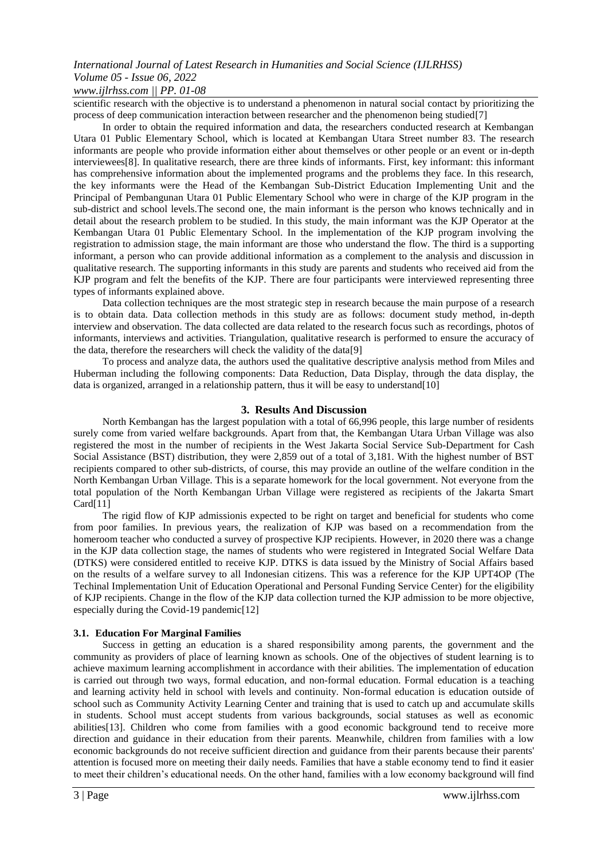### *www.ijlrhss.com || PP. 01-08*

scientific research with the objective is to understand a phenomenon in natural social contact by prioritizing the process of deep communication interaction between researcher and the phenomenon being studied[7]

In order to obtain the required information and data, the researchers conducted research at Kembangan Utara 01 Public Elementary School, which is located at Kembangan Utara Street number 83. The research informants are people who provide information either about themselves or other people or an event or in-depth interviewees[8]. In qualitative research, there are three kinds of informants. First, key informant: this informant has comprehensive information about the implemented programs and the problems they face. In this research, the key informants were the Head of the Kembangan Sub-District Education Implementing Unit and the Principal of Pembangunan Utara 01 Public Elementary School who were in charge of the KJP program in the sub-district and school levels.The second one, the main informant is the person who knows technically and in detail about the research problem to be studied. In this study, the main informant was the KJP Operator at the Kembangan Utara 01 Public Elementary School. In the implementation of the KJP program involving the registration to admission stage, the main informant are those who understand the flow. The third is a supporting informant, a person who can provide additional information as a complement to the analysis and discussion in qualitative research. The supporting informants in this study are parents and students who received aid from the KJP program and felt the benefits of the KJP. There are four participants were interviewed representing three types of informants explained above.

Data collection techniques are the most strategic step in research because the main purpose of a research is to obtain data. Data collection methods in this study are as follows: document study method, in-depth interview and observation. The data collected are data related to the research focus such as recordings, photos of informants, interviews and activities. Triangulation, qualitative research is performed to ensure the accuracy of the data, therefore the researchers will check the validity of the data[9]

To process and analyze data, the authors used the qualitative descriptive analysis method from Miles and Huberman including the following components: Data Reduction, Data Display, through the data display, the data is organized, arranged in a relationship pattern, thus it will be easy to understand [10]

#### **3. Results And Discussion**

North Kembangan has the largest population with a total of 66,996 people, this large number of residents surely come from varied welfare backgrounds. Apart from that, the Kembangan Utara Urban Village was also registered the most in the number of recipients in the West Jakarta Social Service Sub-Department for Cash Social Assistance (BST) distribution, they were 2,859 out of a total of 3,181. With the highest number of BST recipients compared to other sub-districts, of course, this may provide an outline of the welfare condition in the North Kembangan Urban Village. This is a separate homework for the local government. Not everyone from the total population of the North Kembangan Urban Village were registered as recipients of the Jakarta Smart Card[11]

The rigid flow of KJP admissionis expected to be right on target and beneficial for students who come from poor families. In previous years, the realization of KJP was based on a recommendation from the homeroom teacher who conducted a survey of prospective KJP recipients. However, in 2020 there was a change in the KJP data collection stage, the names of students who were registered in Integrated Social Welfare Data (DTKS) were considered entitled to receive KJP. DTKS is data issued by the Ministry of Social Affairs based on the results of a welfare survey to all Indonesian citizens. This was a reference for the KJP UPT4OP (The Techinal Implementation Unit of Education Operational and Personal Funding Service Center) for the eligibility of KJP recipients. Change in the flow of the KJP data collection turned the KJP admission to be more objective, especially during the Covid-19 pandemic[12]

#### **3.1. Education For Marginal Families**

Success in getting an education is a shared responsibility among parents, the government and the community as providers of place of learning known as schools. One of the objectives of student learning is to achieve maximum learning accomplishment in accordance with their abilities. The implementation of education is carried out through two ways, formal education, and non-formal education. Formal education is a teaching and learning activity held in school with levels and continuity. Non-formal education is education outside of school such as Community Activity Learning Center and training that is used to catch up and accumulate skills in students. School must accept students from various backgrounds, social statuses as well as economic abilities[13]. Children who come from families with a good economic background tend to receive more direction and guidance in their education from their parents. Meanwhile, children from families with a low economic backgrounds do not receive sufficient direction and guidance from their parents because their parents' attention is focused more on meeting their daily needs. Families that have a stable economy tend to find it easier to meet their children"s educational needs. On the other hand, families with a low economy background will find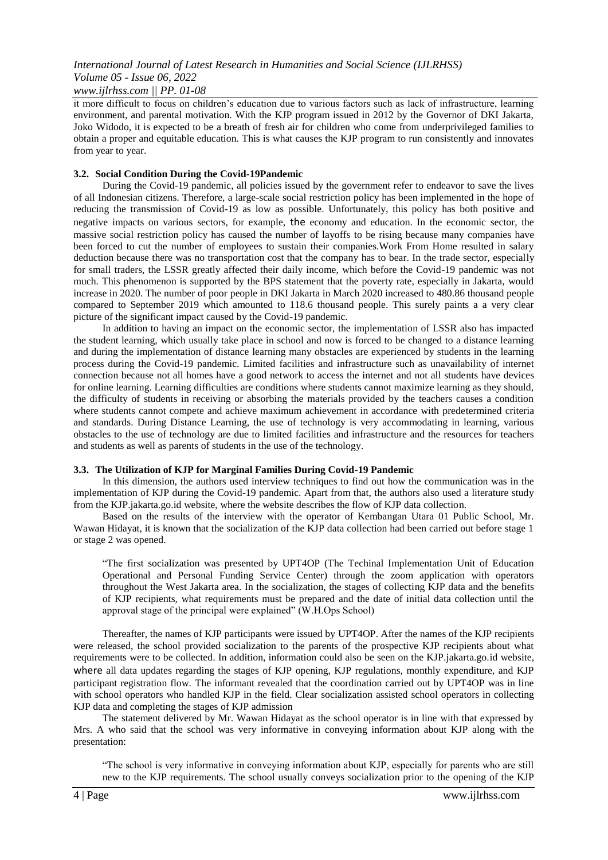# *www.ijlrhss.com || PP. 01-08*

it more difficult to focus on children"s education due to various factors such as lack of infrastructure, learning environment, and parental motivation. With the KJP program issued in 2012 by the Governor of DKI Jakarta, Joko Widodo, it is expected to be a breath of fresh air for children who come from underprivileged families to obtain a proper and equitable education. This is what causes the KJP program to run consistently and innovates from year to year.

#### **3.2. Social Condition During the Covid-19Pandemic**

During the Covid-19 pandemic, all policies issued by the government refer to endeavor to save the lives of all Indonesian citizens. Therefore, a large-scale social restriction policy has been implemented in the hope of reducing the transmission of Covid-19 as low as possible. Unfortunately, this policy has both positive and negative impacts on various sectors, for example, the economy and education. In the economic sector, the massive social restriction policy has caused the number of layoffs to be rising because many companies have been forced to cut the number of employees to sustain their companies.Work From Home resulted in salary deduction because there was no transportation cost that the company has to bear. In the trade sector, especially for small traders, the LSSR greatly affected their daily income, which before the Covid-19 pandemic was not much. This phenomenon is supported by the BPS statement that the poverty rate, especially in Jakarta, would increase in 2020. The number of poor people in DKI Jakarta in March 2020 increased to 480.86 thousand people compared to September 2019 which amounted to 118.6 thousand people. This surely paints a a very clear picture of the significant impact caused by the Covid-19 pandemic.

In addition to having an impact on the economic sector, the implementation of LSSR also has impacted the student learning, which usually take place in school and now is forced to be changed to a distance learning and during the implementation of distance learning many obstacles are experienced by students in the learning process during the Covid-19 pandemic. Limited facilities and infrastructure such as unavailability of internet connection because not all homes have a good network to access the internet and not all students have devices for online learning. Learning difficulties are conditions where students cannot maximize learning as they should, the difficulty of students in receiving or absorbing the materials provided by the teachers causes a condition where students cannot compete and achieve maximum achievement in accordance with predetermined criteria and standards. During Distance Learning, the use of technology is very accommodating in learning, various obstacles to the use of technology are due to limited facilities and infrastructure and the resources for teachers and students as well as parents of students in the use of the technology.

#### **3.3. The Utilization of KJP for Marginal Families During Covid-19 Pandemic**

In this dimension, the authors used interview techniques to find out how the communication was in the implementation of KJP during the Covid-19 pandemic. Apart from that, the authors also used a literature study from the KJP.jakarta.go.id website, where the website describes the flow of KJP data collection.

Based on the results of the interview with the operator of Kembangan Utara 01 Public School, Mr. Wawan Hidayat, it is known that the socialization of the KJP data collection had been carried out before stage 1 or stage 2 was opened.

"The first socialization was presented by UPT4OP (The Techinal Implementation Unit of Education Operational and Personal Funding Service Center) through the zoom application with operators throughout the West Jakarta area. In the socialization, the stages of collecting KJP data and the benefits of KJP recipients, what requirements must be prepared and the date of initial data collection until the approval stage of the principal were explained" (W.H.Ops School)

Thereafter, the names of KJP participants were issued by UPT4OP. After the names of the KJP recipients were released, the school provided socialization to the parents of the prospective KJP recipients about what requirements were to be collected. In addition, information could also be seen on the KJP.jakarta.go.id website, where all data updates regarding the stages of KJP opening, KJP regulations, monthly expenditure, and KJP participant registration flow. The informant revealed that the coordination carried out by UPT4OP was in line with school operators who handled KJP in the field. Clear socialization assisted school operators in collecting KJP data and completing the stages of KJP admission

The statement delivered by Mr. Wawan Hidayat as the school operator is in line with that expressed by Mrs. A who said that the school was very informative in conveying information about KJP along with the presentation:

"The school is very informative in conveying information about KJP, especially for parents who are still new to the KJP requirements. The school usually conveys socialization prior to the opening of the KJP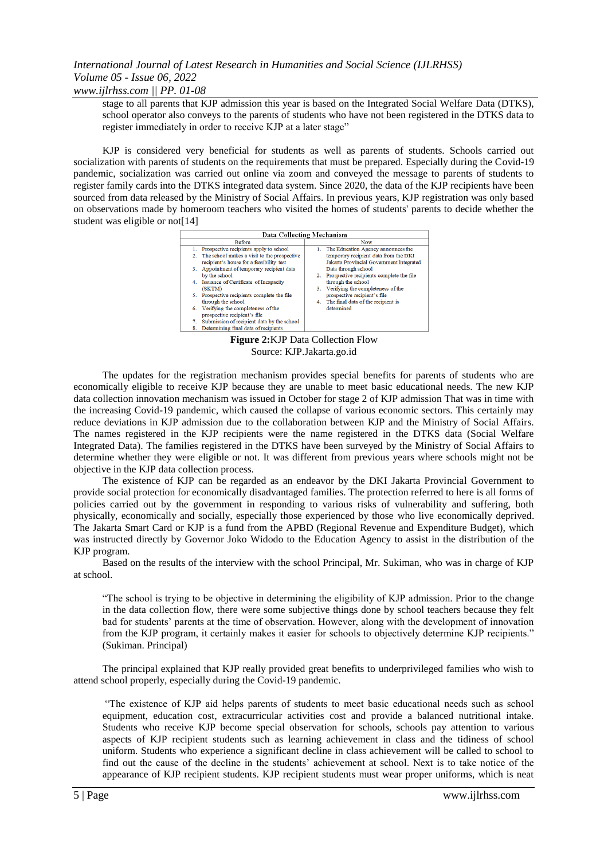*www.ijlrhss.com || PP. 01-08*

stage to all parents that KJP admission this year is based on the Integrated Social Welfare Data (DTKS), school operator also conveys to the parents of students who have not been registered in the DTKS data to register immediately in order to receive KJP at a later stage"

KJP is considered very beneficial for students as well as parents of students. Schools carried out socialization with parents of students on the requirements that must be prepared. Especially during the Covid-19 pandemic, socialization was carried out online via zoom and conveyed the message to parents of students to register family cards into the DTKS integrated data system. Since 2020, the data of the KJP recipients have been sourced from data released by the Ministry of Social Affairs. In previous years, KJP registration was only based on observations made by homeroom teachers who visited the homes of students' parents to decide whether the student was eligible or not<sup>[14]</sup>



**Figure 2:**KJP Data Collection Flow Source: KJP.Jakarta.go.id

The updates for the registration mechanism provides special benefits for parents of students who are economically eligible to receive KJP because they are unable to meet basic educational needs. The new KJP data collection innovation mechanism was issued in October for stage 2 of KJP admission That was in time with the increasing Covid-19 pandemic, which caused the collapse of various economic sectors. This certainly may reduce deviations in KJP admission due to the collaboration between KJP and the Ministry of Social Affairs. The names registered in the KJP recipients were the name registered in the DTKS data (Social Welfare Integrated Data). The families registered in the DTKS have been surveyed by the Ministry of Social Affairs to determine whether they were eligible or not. It was different from previous years where schools might not be objective in the KJP data collection process.

The existence of KJP can be regarded as an endeavor by the DKI Jakarta Provincial Government to provide social protection for economically disadvantaged families. The protection referred to here is all forms of policies carried out by the government in responding to various risks of vulnerability and suffering, both physically, economically and socially, especially those experienced by those who live economically deprived. The Jakarta Smart Card or KJP is a fund from the APBD (Regional Revenue and Expenditure Budget), which was instructed directly by Governor Joko Widodo to the Education Agency to assist in the distribution of the KJP program.

Based on the results of the interview with the school Principal, Mr. Sukiman, who was in charge of KJP at school.

"The school is trying to be objective in determining the eligibility of KJP admission. Prior to the change in the data collection flow, there were some subjective things done by school teachers because they felt bad for students" parents at the time of observation. However, along with the development of innovation from the KJP program, it certainly makes it easier for schools to objectively determine KJP recipients." (Sukiman. Principal)

The principal explained that KJP really provided great benefits to underprivileged families who wish to attend school properly, especially during the Covid-19 pandemic.

"The existence of KJP aid helps parents of students to meet basic educational needs such as school equipment, education cost, extracurricular activities cost and provide a balanced nutritional intake. Students who receive KJP become special observation for schools, schools pay attention to various aspects of KJP recipient students such as learning achievement in class and the tidiness of school uniform. Students who experience a significant decline in class achievement will be called to school to find out the cause of the decline in the students" achievement at school. Next is to take notice of the appearance of KJP recipient students. KJP recipient students must wear proper uniforms, which is neat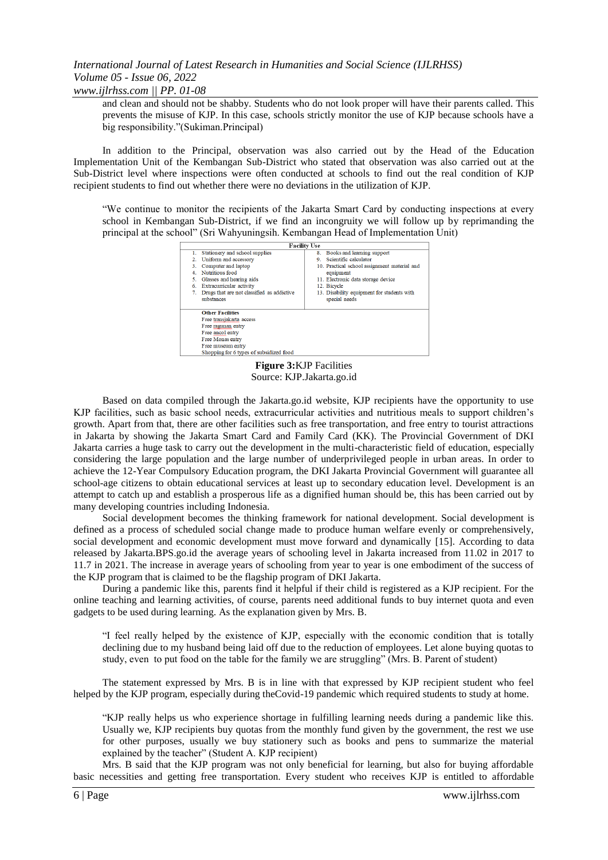*www.ijlrhss.com || PP. 01-08*

and clean and should not be shabby. Students who do not look proper will have their parents called. This prevents the misuse of KJP. In this case, schools strictly monitor the use of KJP because schools have a big responsibility."(Sukiman.Principal)

In addition to the Principal, observation was also carried out by the Head of the Education Implementation Unit of the Kembangan Sub-District who stated that observation was also carried out at the Sub-District level where inspections were often conducted at schools to find out the real condition of KJP recipient students to find out whether there were no deviations in the utilization of KJP.

"We continue to monitor the recipients of the Jakarta Smart Card by conducting inspections at every school in Kembangan Sub-District, if we find an incongruity we will follow up by reprimanding the principal at the school" (Sri Wahyuningsih. Kembangan Head of Implementation Unit)



**Figure 3:**KJP Facilities Source: KJP.Jakarta.go.id

Based on data compiled through the Jakarta.go.id website, KJP recipients have the opportunity to use KJP facilities, such as basic school needs, extracurricular activities and nutritious meals to support children"s growth. Apart from that, there are other facilities such as free transportation, and free entry to tourist attractions in Jakarta by showing the Jakarta Smart Card and Family Card (KK). The Provincial Government of DKI Jakarta carries a huge task to carry out the development in the multi-characteristic field of education, especially considering the large population and the large number of underprivileged people in urban areas. In order to achieve the 12-Year Compulsory Education program, the DKI Jakarta Provincial Government will guarantee all school-age citizens to obtain educational services at least up to secondary education level. Development is an attempt to catch up and establish a prosperous life as a dignified human should be, this has been carried out by many developing countries including Indonesia.

Social development becomes the thinking framework for national development. Social development is defined as a process of scheduled social change made to produce human welfare evenly or comprehensively, social development and economic development must move forward and dynamically [15]. According to data released by Jakarta.BPS.go.id the average years of schooling level in Jakarta increased from 11.02 in 2017 to 11.7 in 2021. The increase in average years of schooling from year to year is one embodiment of the success of the KJP program that is claimed to be the flagship program of DKI Jakarta.

During a pandemic like this, parents find it helpful if their child is registered as a KJP recipient. For the online teaching and learning activities, of course, parents need additional funds to buy internet quota and even gadgets to be used during learning. As the explanation given by Mrs. B.

"I feel really helped by the existence of KJP, especially with the economic condition that is totally declining due to my husband being laid off due to the reduction of employees. Let alone buying quotas to study, even to put food on the table for the family we are struggling" (Mrs. B. Parent of student)

The statement expressed by Mrs. B is in line with that expressed by KJP recipient student who feel helped by the KJP program, especially during theCovid-19 pandemic which required students to study at home.

"KJP really helps us who experience shortage in fulfilling learning needs during a pandemic like this. Usually we, KJP recipients buy quotas from the monthly fund given by the government, the rest we use for other purposes, usually we buy stationery such as books and pens to summarize the material explained by the teacher" (Student A. KJP recipient)

Mrs. B said that the KJP program was not only beneficial for learning, but also for buying affordable basic necessities and getting free transportation. Every student who receives KJP is entitled to affordable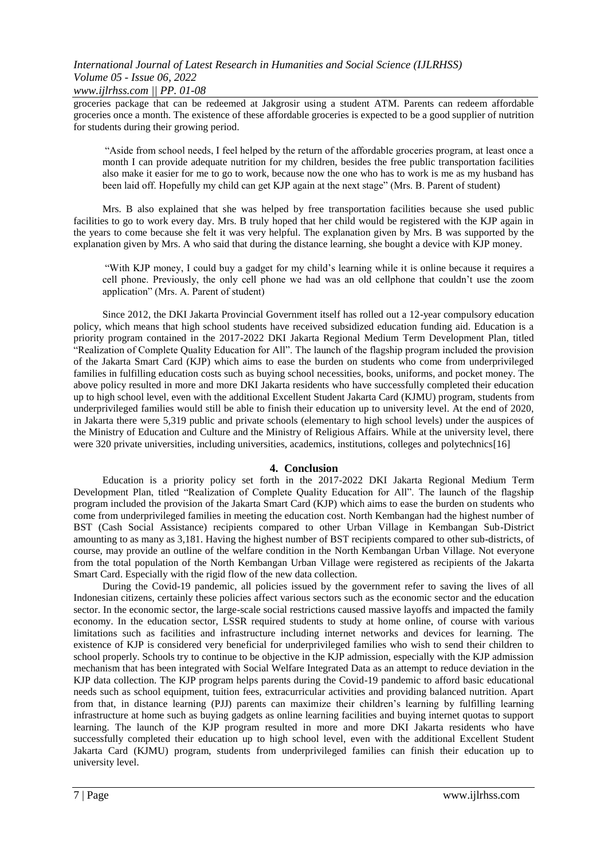*www.ijlrhss.com || PP. 01-08*

groceries package that can be redeemed at Jakgrosir using a student ATM. Parents can redeem affordable groceries once a month. The existence of these affordable groceries is expected to be a good supplier of nutrition for students during their growing period.

"Aside from school needs, I feel helped by the return of the affordable groceries program, at least once a month I can provide adequate nutrition for my children, besides the free public transportation facilities also make it easier for me to go to work, because now the one who has to work is me as my husband has been laid off. Hopefully my child can get KJP again at the next stage" (Mrs. B. Parent of student)

Mrs. B also explained that she was helped by free transportation facilities because she used public facilities to go to work every day. Mrs. B truly hoped that her child would be registered with the KJP again in the years to come because she felt it was very helpful. The explanation given by Mrs. B was supported by the explanation given by Mrs. A who said that during the distance learning, she bought a device with KJP money.

"With KJP money, I could buy a gadget for my child"s learning while it is online because it requires a cell phone. Previously, the only cell phone we had was an old cellphone that couldn"t use the zoom application" (Mrs. A. Parent of student)

Since 2012, the DKI Jakarta Provincial Government itself has rolled out a 12-year compulsory education policy, which means that high school students have received subsidized education funding aid. Education is a priority program contained in the 2017-2022 DKI Jakarta Regional Medium Term Development Plan, titled "Realization of Complete Quality Education for All". The launch of the flagship program included the provision of the Jakarta Smart Card (KJP) which aims to ease the burden on students who come from underprivileged families in fulfilling education costs such as buying school necessities, books, uniforms, and pocket money. The above policy resulted in more and more DKI Jakarta residents who have successfully completed their education up to high school level, even with the additional Excellent Student Jakarta Card (KJMU) program, students from underprivileged families would still be able to finish their education up to university level. At the end of 2020, in Jakarta there were 5,319 public and private schools (elementary to high school levels) under the auspices of the Ministry of Education and Culture and the Ministry of Religious Affairs. While at the university level, there were 320 private universities, including universities, academics, institutions, colleges and polytechnics[16]

### **4. Conclusion**

Education is a priority policy set forth in the 2017-2022 DKI Jakarta Regional Medium Term Development Plan, titled "Realization of Complete Quality Education for All". The launch of the flagship program included the provision of the Jakarta Smart Card (KJP) which aims to ease the burden on students who come from underprivileged families in meeting the education cost. North Kembangan had the highest number of BST (Cash Social Assistance) recipients compared to other Urban Village in Kembangan Sub-District amounting to as many as 3,181. Having the highest number of BST recipients compared to other sub-districts, of course, may provide an outline of the welfare condition in the North Kembangan Urban Village. Not everyone from the total population of the North Kembangan Urban Village were registered as recipients of the Jakarta Smart Card. Especially with the rigid flow of the new data collection.

During the Covid-19 pandemic, all policies issued by the government refer to saving the lives of all Indonesian citizens, certainly these policies affect various sectors such as the economic sector and the education sector. In the economic sector, the large-scale social restrictions caused massive layoffs and impacted the family economy. In the education sector, LSSR required students to study at home online, of course with various limitations such as facilities and infrastructure including internet networks and devices for learning. The existence of KJP is considered very beneficial for underprivileged families who wish to send their children to school properly. Schools try to continue to be objective in the KJP admission, especially with the KJP admission mechanism that has been integrated with Social Welfare Integrated Data as an attempt to reduce deviation in the KJP data collection. The KJP program helps parents during the Covid-19 pandemic to afford basic educational needs such as school equipment, tuition fees, extracurricular activities and providing balanced nutrition. Apart from that, in distance learning (PJJ) parents can maximize their children"s learning by fulfilling learning infrastructure at home such as buying gadgets as online learning facilities and buying internet quotas to support learning. The launch of the KJP program resulted in more and more DKI Jakarta residents who have successfully completed their education up to high school level, even with the additional Excellent Student Jakarta Card (KJMU) program, students from underprivileged families can finish their education up to university level.